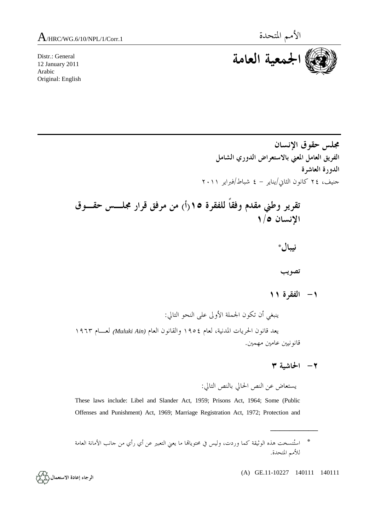Distr.: General 12 January 2011 Arabic Original: English



**مجلس حقوق الإنسان الفريق العامل المعني بالاستعراض الدوري الشامل الدورة العاشرة**  جنيف، ٢٤ كانون الثاني/يناير - ٤ شباط/فبراير ٢٠١١

 **تقرير وطني مقدم وفقاً للفقرة ١٥(أ) من مرفق قرار مجلـس حقـوق الإنسان ١/٥** 

 **نيبال\*** 

 **تصويب** 

 **-١ الفقرة ١١** 

 ينبغي أن تكون الجملة الأولى على النحو التالي: يعد قانون الحريات المدنية، لعام ١٩٥٤ والقانون العام *(Ain Muluki* (لعـام ١٩٦٣ قانونيين عامين مهمين.

 **-٢ الحاشية ٣** 

 $\overline{\phantom{a}}$ 

يستعاض عن النص الحالي بالنص التالي:

These laws include: Libel and Slander Act, 1959; Prisons Act, 1964; Some (Public Offenses and Punishment) Act, 1969; Marriage Registration Act, 1972; Protection and

(A) GE.11-10227 140111 140111

الرجاء إعادة الاستعمال (كمكم)

 <sup>\*</sup> استُنسخت هذه الوثيقة كما وردت، وليس في محتوياهتا ما يعني التعبير عن أي رأي من جانب الأمانة العامة للأمم المتحدة.